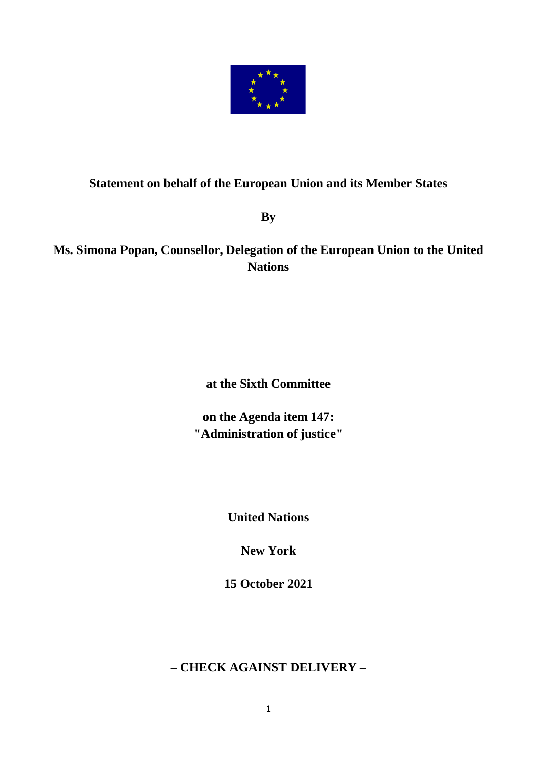

## **Statement on behalf of the European Union and its Member States**

**By** 

## **Ms. Simona Popan, Counsellor, Delegation of the European Union to the United Nations**

**at the Sixth Committee**

**on the Agenda item 147: "Administration of justice"**

**United Nations**

**New York**

**15 October 2021**

**– CHECK AGAINST DELIVERY –**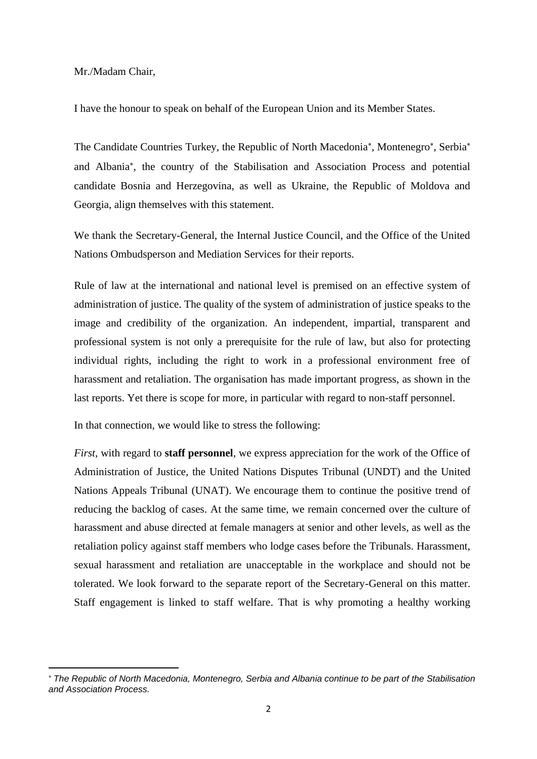Mr./Madam Chair,

I have the honour to speak on behalf of the European Union and its Member States.

The Candidate Countries Turkey, the Republic of North Macedonia\*, Montenegro\*, Serbia\* and Albania , the country of the Stabilisation and Association Process and potential candidate Bosnia and Herzegovina, as well as Ukraine, the Republic of Moldova and Georgia, align themselves with this statement.

We thank the Secretary-General, the Internal Justice Council, and the Office of the United Nations Ombudsperson and Mediation Services for their reports.

Rule of law at the international and national level is premised on an effective system of administration of justice. The quality of the system of administration of justice speaks to the image and credibility of the organization. An independent, impartial, transparent and professional system is not only a prerequisite for the rule of law, but also for protecting individual rights, including the right to work in a professional environment free of harassment and retaliation. The organisation has made important progress, as shown in the last reports. Yet there is scope for more, in particular with regard to non-staff personnel.

In that connection, we would like to stress the following:

*First,* with regard to **staff personnel**, we express appreciation for the work of the Office of Administration of Justice, the United Nations Disputes Tribunal (UNDT) and the United Nations Appeals Tribunal (UNAT). We encourage them to continue the positive trend of reducing the backlog of cases. At the same time, we remain concerned over the culture of harassment and abuse directed at female managers at senior and other levels, as well as the retaliation policy against staff members who lodge cases before the Tribunals. Harassment, sexual harassment and retaliation are unacceptable in the workplace and should not be tolerated. We look forward to the separate report of the Secretary-General on this matter. Staff engagement is linked to staff welfare. That is why promoting a healthy working

*The Republic of North Macedonia, Montenegro, Serbia and Albania continue to be part of the Stabilisation and Association Process.*